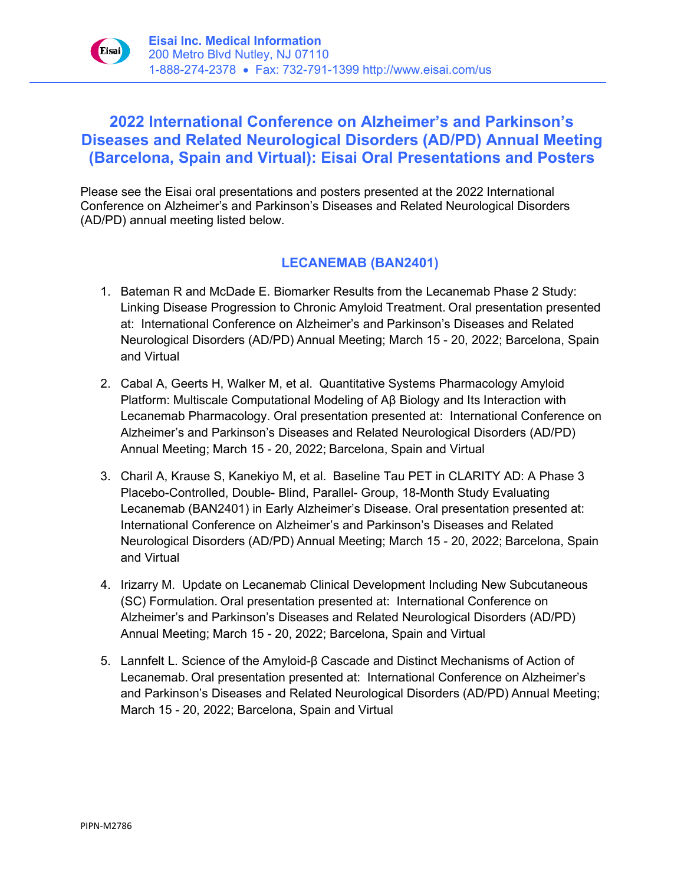

# **2022 International Conference on Alzheimer's and Parkinson's Diseases and Related Neurological Disorders (AD/PD) Annual Meeting (Barcelona, Spain and Virtual): Eisai Oral Presentations and Posters**

Please see the Eisai oral presentations and posters presented at the 2022 International Conference on Alzheimer's and Parkinson's Diseases and Related Neurological Disorders (AD/PD) annual meeting listed below.

### **LECANEMAB (BAN2401)**

- 1. Bateman R and McDade E. Biomarker Results from the Lecanemab Phase 2 Study: Linking Disease Progression to Chronic Amyloid Treatment. Oral presentation presented at: International Conference on Alzheimer's and Parkinson's Diseases and Related Neurological Disorders (AD/PD) Annual Meeting; March 15 - 20, 2022; Barcelona, Spain and Virtual
- 2. Cabal A, Geerts H, Walker M, et al. Quantitative Systems Pharmacology Amyloid Platform: Multiscale Computational Modeling of Aβ Biology and Its Interaction with Lecanemab Pharmacology. Oral presentation presented at: International Conference on Alzheimer's and Parkinson's Diseases and Related Neurological Disorders (AD/PD) Annual Meeting; March 15 - 20, 2022; Barcelona, Spain and Virtual
- 3. Charil A, Krause S, Kanekiyo M, et al. Baseline Tau PET in CLARITY AD: A Phase 3 Placebo-Controlled, Double- Blind, Parallel- Group, 18-Month Study Evaluating Lecanemab (BAN2401) in Early Alzheimer's Disease. Oral presentation presented at: International Conference on Alzheimer's and Parkinson's Diseases and Related Neurological Disorders (AD/PD) Annual Meeting; March 15 - 20, 2022; Barcelona, Spain and Virtual
- 4. Irizarry M. Update on Lecanemab Clinical Development Including New Subcutaneous (SC) Formulation. Oral presentation presented at: International Conference on Alzheimer's and Parkinson's Diseases and Related Neurological Disorders (AD/PD) Annual Meeting; March 15 - 20, 2022; Barcelona, Spain and Virtual
- 5. Lannfelt L. Science of the Amyloid-β Cascade and Distinct Mechanisms of Action of Lecanemab. Oral presentation presented at: International Conference on Alzheimer's and Parkinson's Diseases and Related Neurological Disorders (AD/PD) Annual Meeting; March 15 - 20, 2022; Barcelona, Spain and Virtual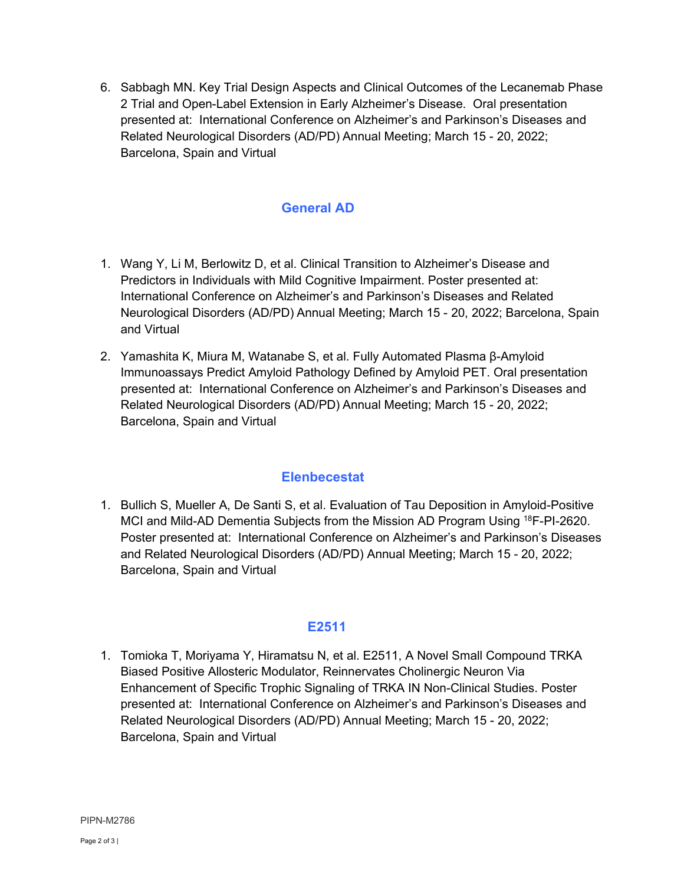6. Sabbagh MN. Key Trial Design Aspects and Clinical Outcomes of the Lecanemab Phase 2 Trial and Open-Label Extension in Early Alzheimer's Disease. Oral presentation presented at: International Conference on Alzheimer's and Parkinson's Diseases and Related Neurological Disorders (AD/PD) Annual Meeting; March 15 - 20, 2022; Barcelona, Spain and Virtual

#### **General AD**

- 1. Wang Y, Li M, Berlowitz D, et al. Clinical Transition to Alzheimer's Disease and Predictors in Individuals with Mild Cognitive Impairment. Poster presented at: International Conference on Alzheimer's and Parkinson's Diseases and Related Neurological Disorders (AD/PD) Annual Meeting; March 15 - 20, 2022; Barcelona, Spain and Virtual
- 2. Yamashita K, Miura M, Watanabe S, et al. Fully Automated Plasma β-Amyloid Immunoassays Predict Amyloid Pathology Defined by Amyloid PET. Oral presentation presented at: International Conference on Alzheimer's and Parkinson's Diseases and Related Neurological Disorders (AD/PD) Annual Meeting; March 15 - 20, 2022; Barcelona, Spain and Virtual

#### **Elenbecestat**

1. Bullich S, Mueller A, De Santi S, et al. Evaluation of Tau Deposition in Amyloid-Positive MCI and Mild-AD Dementia Subjects from the Mission AD Program Using 18F-PI-2620. Poster presented at: International Conference on Alzheimer's and Parkinson's Diseases and Related Neurological Disorders (AD/PD) Annual Meeting; March 15 - 20, 2022; Barcelona, Spain and Virtual

## **E2511**

1. Tomioka T, Moriyama Y, Hiramatsu N, et al. E2511, A Novel Small Compound TRKA Biased Positive Allosteric Modulator, Reinnervates Cholinergic Neuron Via Enhancement of Specific Trophic Signaling of TRKA IN Non-Clinical Studies. Poster presented at: International Conference on Alzheimer's and Parkinson's Diseases and Related Neurological Disorders (AD/PD) Annual Meeting; March 15 - 20, 2022; Barcelona, Spain and Virtual